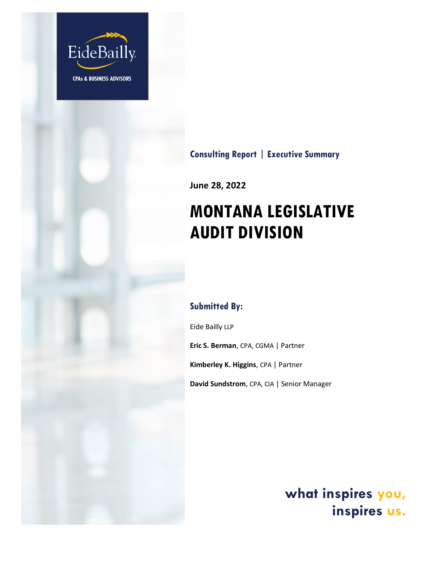

# **Consulting Report | Executive Summary**

**June 28, 2022**

# **MONTANA LEGISLATIVE AUDIT DIVISION**

## **Submitted By:**

Eide Bailly LLP

**Eric S. Berman**, CPA, CGMA | Partner

**Kimberley K. Higgins**, CPA | Partner

**David Sundstrom**, CPA, CIA | Senior Manager

**what inspires you, inspires us.**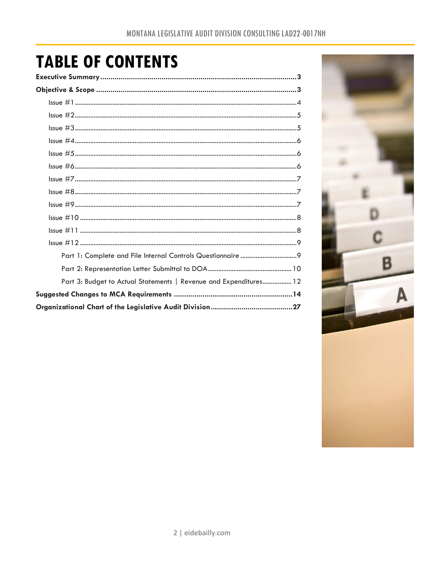# **TABLE OF CONTENTS**

| Executive Summary……………………………………………………………………………………3                     |  |
|------------------------------------------------------------------------|--|
|                                                                        |  |
|                                                                        |  |
|                                                                        |  |
|                                                                        |  |
|                                                                        |  |
|                                                                        |  |
|                                                                        |  |
|                                                                        |  |
|                                                                        |  |
|                                                                        |  |
|                                                                        |  |
|                                                                        |  |
|                                                                        |  |
|                                                                        |  |
|                                                                        |  |
| Part 3: Budget to Actual Statements   Revenue and Expenditures 12      |  |
|                                                                        |  |
| Organizational Chart of the Legislative Audit Division……………………………………27 |  |

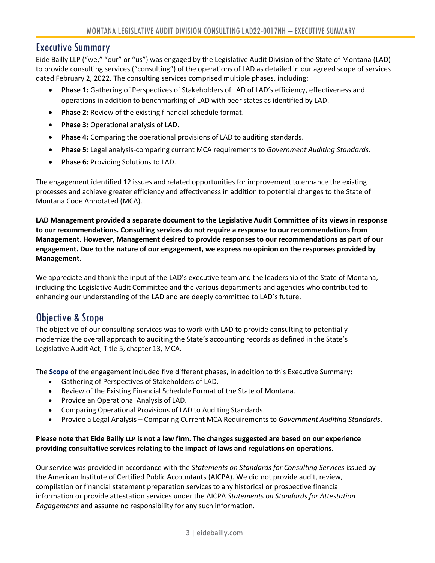### <span id="page-2-0"></span>Executive Summary

Eide Bailly LLP ("we," "our" or "us") was engaged by the Legislative Audit Division of the State of Montana (LAD) to provide consulting services ("consulting") of the operations of LAD as detailed in our agreed scope of services dated February 2, 2022. The consulting services comprised multiple phases, including:

- **Phase 1:** Gathering of Perspectives of Stakeholders of LAD of LAD's efficiency, effectiveness and operations in addition to benchmarking of LAD with peer states as identified by LAD.
- **Phase 2:** Review of the existing financial schedule format.
- **Phase 3:** Operational analysis of LAD.
- **Phase 4:** Comparing the operational provisions of LAD to auditing standards.
- **Phase 5:** Legal analysis-comparing current MCA requirements to *Government Auditing Standards*.
- **Phase 6:** Providing Solutions to LAD.

The engagement identified 12 issues and related opportunities for improvement to enhance the existing processes and achieve greater efficiency and effectiveness in addition to potential changes to the State of Montana Code Annotated (MCA).

**LAD Management provided a separate document to the Legislative Audit Committee of its views in response to our recommendations. Consulting services do not require a response to our recommendations from Management. However, Management desired to provide responses to our recommendations as part of our engagement. Due to the nature of our engagement, we express no opinion on the responses provided by Management.**

We appreciate and thank the input of the LAD's executive team and the leadership of the State of Montana, including the Legislative Audit Committee and the various departments and agencies who contributed to enhancing our understanding of the LAD and are deeply committed to LAD's future.

# <span id="page-2-1"></span>Objective & Scope

The objective of our consulting services was to work with LAD to provide consulting to potentially modernize the overall approach to auditing the State's accounting records as defined in the State's Legislative Audit Act, Title 5, chapter 13, MCA.

The **Scope** of the engagement included five different phases, in addition to this Executive Summary:

- Gathering of Perspectives of Stakeholders of LAD.
- Review of the Existing Financial Schedule Format of the State of Montana.
- Provide an Operational Analysis of LAD.
- Comparing Operational Provisions of LAD to Auditing Standards.
- Provide a Legal Analysis Comparing Current MCA Requirements to *Government Auditing Standards*.

#### **Please note that Eide Bailly LLP is not a law firm. The changes suggested are based on our experience providing consultative services relating to the impact of laws and regulations on operations.**

Our service was provided in accordance with the *Statements on Standards for Consulting Services* issued by the American Institute of Certified Public Accountants (AICPA). We did not provide audit, review, compilation or financial statement preparation services to any historical or prospective financial information or provide attestation services under the AICPA *Statements on Standards for Attestation Engagements* and assume no responsibility for any such information.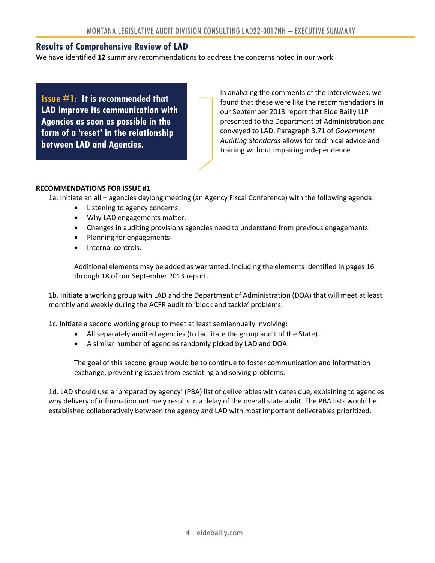#### **Results of Comprehensive Review of LAD**

We have identified **12** summary recommendations to address the concerns noted in our work.

**Issue #1: It is recommended that LAD improve its communication with Agencies as soon as possible in the form of a 'reset' in the relationship between LAD and Agencies.**

In analyzing the comments of the interviewees, we found that these were like the recommendations in our September 2013 report that Eide Bailly LLP presented to the Department of Administration and conveyed to LAD. Paragraph 3.71 of *Government Auditing Standards* allows for technical advice and training without impairing independence.

#### **RECOMMENDATIONS FOR ISSUE #1**

- 1a. Initiate an all agencies daylong meeting (an Agency Fiscal Conference) with the following agenda:
	- Listening to agency concerns.
	- Why LAD engagements matter.
	- Changes in auditing provisions agencies need to understand from previous engagements.
	- Planning for engagements.
	- Internal controls.

Additional elements may be added as warranted, including the elements identified in pages 16 through 18 of our September 2013 report.

1b. Initiate a working group with LAD and the Department of Administration (DOA) that will meet at least monthly and weekly during the ACFR audit to 'block and tackle' problems.

1c. Initiate a second working group to meet at least semiannually involving:

- All separately audited agencies (to facilitate the group audit of the State).
- A similar number of agencies randomly picked by LAD and DOA.

The goal of this second group would be to continue to foster communication and information exchange, preventing issues from escalating and solving problems.

1d. LAD should use a 'prepared by agency' (PBA) list of deliverables with dates due, explaining to agencies why delivery of information untimely results in a delay of the overall state audit. The PBA lists would be established collaboratively between the agency and LAD with most important deliverables prioritized.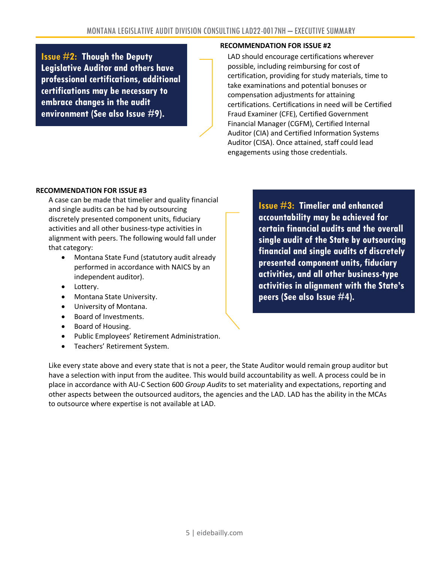**Issue #2: Though the Deputy Legislative Auditor and others have professional certifications, additional certifications may be necessary to embrace changes in the audit environment (See also Issue #9).**

#### **RECOMMENDATION FOR ISSUE #2**

LAD should encourage certifications wherever possible, including reimbursing for cost of certification, providing for study materials, time to take examinations and potential bonuses or compensation adjustments for attaining certifications. Certifications in need will be Certified Fraud Examiner (CFE), Certified Government Financial Manager (CGFM), Certified Internal Auditor (CIA) and Certified Information Systems Auditor (CISA). Once attained, staff could lead engagements using those credentials.

#### **RECOMMENDATION FOR ISSUE #3**

A case can be made that timelier and quality financial and single audits can be had by outsourcing discretely presented component units, fiduciary activities and all other business-type activities in alignment with peers. The following would fall under that category:

- Montana State Fund (statutory audit already performed in accordance with NAICS by an independent auditor).
- Lottery.
- Montana State University.
- University of Montana.
- Board of Investments.
- Board of Housing.
- Public Employees' Retirement Administration.
- Teachers' Retirement System.

**Issue #3: Timelier and enhanced accountability may be achieved for certain financial audits and the overall single audit of the State by outsourcing financial and single audits of discretely presented component units, fiduciary activities, and all other business-type activities in alignment with the State's peers (See also Issue #4).**

Like every state above and every state that is not a peer, the State Auditor would remain group auditor but have a selection with input from the auditee. This would build accountability as well. A process could be in place in accordance with AU-C Section 600 *Group Audits* to set materiality and expectations, reporting and other aspects between the outsourced auditors, the agencies and the LAD. LAD has the ability in the MCAs to outsource where expertise is not available at LAD.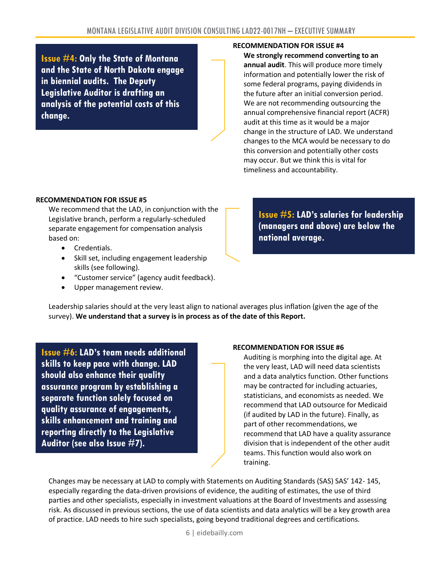**Issue #4: Only the State of Montana and the State of North Dakota engage in biennial audits. The Deputy Legislative Auditor is drafting an analysis of the potential costs of this change.**

#### **RECOMMENDATION FOR ISSUE #4**

**We strongly recommend converting to an annual audit**. This will produce more timely information and potentially lower the risk of some federal programs, paying dividends in the future after an initial conversion period. We are not recommending outsourcing the annual comprehensive financial report (ACFR) audit at this time as it would be a major change in the structure of LAD. We understand changes to the MCA would be necessary to do this conversion and potentially other costs may occur. But we think this is vital for timeliness and accountability.

#### **RECOMMENDATION FOR ISSUE #5**

We recommend that the LAD, in conjunction with the Legislative branch, perform a regularly-scheduled separate engagement for compensation analysis based on:

- Credentials.
- Skill set, including engagement leadership skills (see following).
- "Customer service" (agency audit feedback).
- Upper management review.

**Issue #5: LAD's salaries for leadership (managers and above) are below the national average.**

Leadership salaries should at the very least align to national averages plus inflation (given the age of the survey). **We understand that a survey is in process as of the date of this Report.**

**Issue #6: LAD's team needs additional skills to keep pace with change. LAD should also enhance their quality assurance program by establishing a separate function solely focused on quality assurance of engagements, skills enhancement and training and reporting directly to the Legislative Auditor (see also Issue #7).**

#### **RECOMMENDATION FOR ISSUE #6**

Auditing is morphing into the digital age. At the very least, LAD will need data scientists and a data analytics function. Other functions may be contracted for including actuaries, statisticians, and economists as needed. We recommend that LAD outsource for Medicaid (if audited by LAD in the future). Finally, as part of other recommendations, we recommend that LAD have a quality assurance division that is independent of the other audit teams. This function would also work on training.

Changes may be necessary at LAD to comply with Statements on Auditing Standards (SAS) SAS' 142- 145, especially regarding the data-driven provisions of evidence, the auditing of estimates, the use of third parties and other specialists, especially in investment valuations at the Board of Investments and assessing risk. As discussed in previous sections, the use of data scientists and data analytics will be a key growth area of practice. LAD needs to hire such specialists, going beyond traditional degrees and certifications.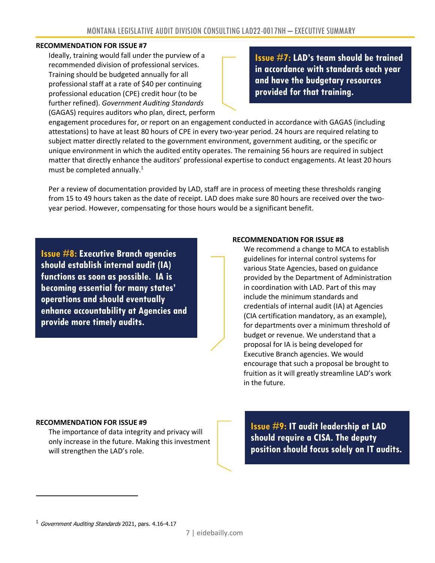#### **RECOMMENDATION FOR ISSUE #7**

Ideally, training would fall under the purview of a recommended division of professional services. Training should be budgeted annually for all professional staff at a rate of \$40 per continuing professional education (CPE) credit hour (to be further refined). *Government Auditing Standards* (GAGAS) requires auditors who plan, direct, perform

**Issue #7: LAD's team should be trained in accordance with standards each year and have the budgetary resources provided for that training.**

engagement procedures for, or report on an engagement conducted in accordance with GAGAS (including attestations) to have at least 80 hours of CPE in every two-year period. 24 hours are required relating to subject matter directly related to the government environment, government auditing, or the specific or unique environment in which the audited entity operates. The remaining 56 hours are required in subject matter that directly enhance the auditors' professional expertise to conduct engagements. At least 20 hours must be completed annually.<sup>1</sup>

Per a review of documentation provided by LAD, staff are in process of meeting these thresholds ranging from 15 to 49 hours taken as the date of receipt. LAD does make sure 80 hours are received over the twoyear period. However, compensating for those hours would be a significant benefit.

**Issue #8: Executive Branch agencies should establish internal audit (IA) functions as soon as possible. IA is becoming essential for many states' operations and should eventually enhance accountability at Agencies and provide more timely audits.**

#### **RECOMMENDATION FOR ISSUE #8**

We recommend a change to MCA to establish guidelines for internal control systems for various State Agencies, based on guidance provided by the Department of Administration in coordination with LAD. Part of this may include the minimum standards and credentials of internal audit (IA) at Agencies (CIA certification mandatory, as an example), for departments over a minimum threshold of budget or revenue. We understand that a proposal for IA is being developed for Executive Branch agencies. We would encourage that such a proposal be brought to fruition as it will greatly streamline LAD's work in the future.

#### **RECOMMENDATION FOR ISSUE #9**

The importance of data integrity and privacy will only increase in the future. Making this investment will strengthen the LAD's role.

**Issue #9: IT audit leadership at LAD should require a CISA. The deputy position should focus solely on IT audits.**

 $1$  Government Auditing Standards 2021, pars. 4.16-4.17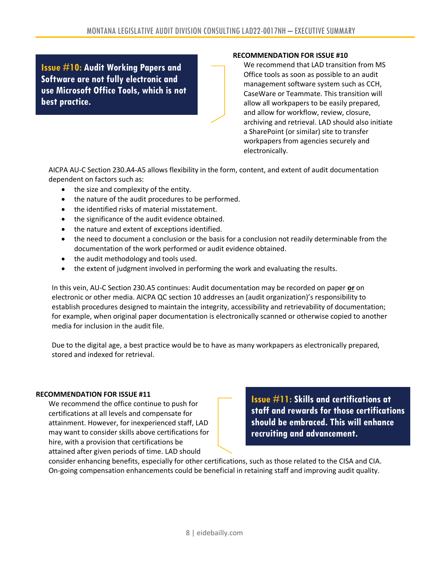**Issue #10: Audit Working Papers and Software are not fully electronic and use Microsoft Office Tools, which is not best practice.**

#### **RECOMMENDATION FOR ISSUE #10**

We recommend that LAD transition from MS Office tools as soon as possible to an audit management software system such as CCH, CaseWare or Teammate. This transition will allow all workpapers to be easily prepared, and allow for workflow, review, closure, archiving and retrieval. LAD should also initiate a SharePoint (or similar) site to transfer workpapers from agencies securely and electronically.

AICPA AU-C Section 230.A4-A5 allows flexibility in the form, content, and extent of audit documentation dependent on factors such as:

- the size and complexity of the entity.
- the nature of the audit procedures to be performed.
- the identified risks of material misstatement.
- the significance of the audit evidence obtained.
- the nature and extent of exceptions identified.
- the need to document a conclusion or the basis for a conclusion not readily determinable from the documentation of the work performed or audit evidence obtained.
- the audit methodology and tools used.
- the extent of judgment involved in performing the work and evaluating the results.

In this vein, AU-C Section 230.A5 continues: Audit documentation may be recorded on paper **or** on electronic or other media. AICPA QC section 10 addresses an (audit organization)'s responsibility to establish procedures designed to maintain the integrity, accessibility and retrievability of documentation; for example, when original paper documentation is electronically scanned or otherwise copied to another media for inclusion in the audit file.

Due to the digital age, a best practice would be to have as many workpapers as electronically prepared, stored and indexed for retrieval.

#### **RECOMMENDATION FOR ISSUE #11**

We recommend the office continue to push for certifications at all levels and compensate for attainment. However, for inexperienced staff, LAD may want to consider skills above certifications for hire, with a provision that certifications be attained after given periods of time. LAD should

**Issue #11: Skills and certifications at staff and rewards for those certifications should be embraced. This will enhance recruiting and advancement.**

consider enhancing benefits, especially for other certifications, such as those related to the CISA and CIA. On-going compensation enhancements could be beneficial in retaining staff and improving audit quality.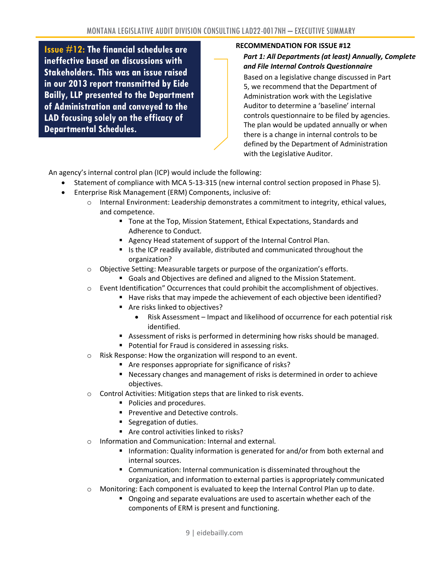**Issue #12: The financial schedules are ineffective based on discussions with Stakeholders. This was an issue raised in our 2013 report transmitted by Eide Bailly, LLP presented to the Department of Administration and conveyed to the LAD focusing solely on the efficacy of Departmental Schedules.**

#### **RECOMMENDATION FOR ISSUE #12**

#### <span id="page-8-0"></span>*Part 1: All Departments (at least) Annually, Complete and File Internal Controls Questionnaire*

Based on a legislative change discussed in Part 5, we recommend that the Department of Administration work with the Legislative Auditor to determine a 'baseline' internal controls questionnaire to be filed by agencies. The plan would be updated annually or when there is a change in internal controls to be defined by the Department of Administration with the Legislative Auditor.

An agency's internal control plan (ICP) would include the following:

- Statement of compliance with MCA 5-13-315 (new internal control section proposed in Phase 5).
- Enterprise Risk Management (ERM) Components, inclusive of:
	- $\circ$  Internal Environment: Leadership demonstrates a commitment to integrity, ethical values, and competence.
		- Tone at the Top, Mission Statement, Ethical Expectations, Standards and Adherence to Conduct.
		- Agency Head statement of support of the Internal Control Plan.
		- Is the ICP readily available, distributed and communicated throughout the organization?
	- o Objective Setting: Measurable targets or purpose of the organization's efforts.
		- Goals and Objectives are defined and aligned to the Mission Statement.
	- $\circ$  Event Identification" Occurrences that could prohibit the accomplishment of objectives.
		- Have risks that may impede the achievement of each objective been identified?
		- Are risks linked to objectives?
			- Risk Assessment Impact and likelihood of occurrence for each potential risk identified.
		- Assessment of risks is performed in determining how risks should be managed.
		- Potential for Fraud is considered in assessing risks.
	- o Risk Response: How the organization will respond to an event.
		- Are responses appropriate for significance of risks?
		- Necessary changes and management of risks is determined in order to achieve objectives.
	- o Control Activities: Mitigation steps that are linked to risk events.
		- Policies and procedures.
		- **•** Preventive and Detective controls.
		- Segregation of duties.
		- Are control activities linked to risks?
	- o Information and Communication: Internal and external.
		- **·** Information: Quality information is generated for and/or from both external and internal sources.
		- Communication: Internal communication is disseminated throughout the organization, and information to external parties is appropriately communicated
	- Monitoring: Each component is evaluated to keep the Internal Control Plan up to date.
		- Ongoing and separate evaluations are used to ascertain whether each of the components of ERM is present and functioning.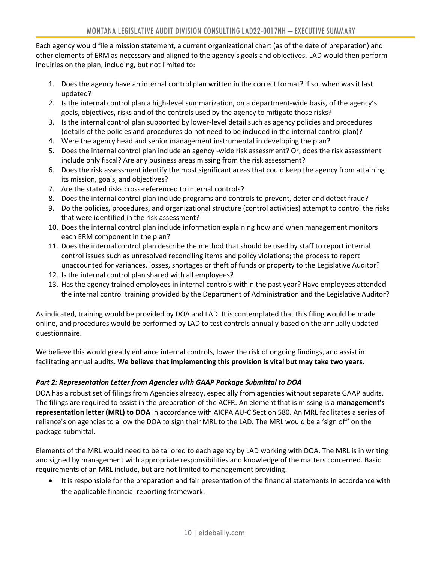Each agency would file a mission statement, a current organizational chart (as of the date of preparation) and other elements of ERM as necessary and aligned to the agency's goals and objectives. LAD would then perform inquiries on the plan, including, but not limited to:

- 1. Does the agency have an internal control plan written in the correct format? If so, when was it last updated?
- 2. Is the internal control plan a high-level summarization, on a department-wide basis, of the agency's goals, objectives, risks and of the controls used by the agency to mitigate those risks?
- 3. Is the internal control plan supported by lower-level detail such as agency policies and procedures (details of the policies and procedures do not need to be included in the internal control plan)?
- 4. Were the agency head and senior management instrumental in developing the plan?
- 5. Does the internal control plan include an agency -wide risk assessment? Or, does the risk assessment include only fiscal? Are any business areas missing from the risk assessment?
- 6. Does the risk assessment identify the most significant areas that could keep the agency from attaining its mission, goals, and objectives?
- 7. Are the stated risks cross-referenced to internal controls?
- 8. Does the internal control plan include programs and controls to prevent, deter and detect fraud?
- 9. Do the policies, procedures, and organizational structure (control activities) attempt to control the risks that were identified in the risk assessment?
- 10. Does the internal control plan include information explaining how and when management monitors each ERM component in the plan?
- 11. Does the internal control plan describe the method that should be used by staff to report internal control issues such as unresolved reconciling items and policy violations; the process to report unaccounted for variances, losses, shortages or theft of funds or property to the Legislative Auditor?
- 12. Is the internal control plan shared with all employees?
- 13. Has the agency trained employees in internal controls within the past year? Have employees attended the internal control training provided by the Department of Administration and the Legislative Auditor?

As indicated, training would be provided by DOA and LAD. It is contemplated that this filing would be made online, and procedures would be performed by LAD to test controls annually based on the annually updated questionnaire.

We believe this would greatly enhance internal controls, lower the risk of ongoing findings, and assist in facilitating annual audits. **We believe that implementing this provision is vital but may take two years.**

#### <span id="page-9-0"></span>*Part 2: Representation Letter from Agencies with GAAP Package Submittal to DOA*

DOA has a robust set of filings from Agencies already, especially from agencies without separate GAAP audits. The filings are required to assist in the preparation of the ACFR. An element that is missing is a **management's representation letter (MRL) to DOA** in accordance with AICPA AU-C Section 580**.** An MRL facilitates a series of reliance's on agencies to allow the DOA to sign their MRL to the LAD. The MRL would be a 'sign off' on the package submittal.

Elements of the MRL would need to be tailored to each agency by LAD working with DOA. The MRL is in writing and signed by management with appropriate responsibilities and knowledge of the matters concerned. Basic requirements of an MRL include, but are not limited to management providing:

• It is responsible for the preparation and fair presentation of the financial statements in accordance with the applicable financial reporting framework.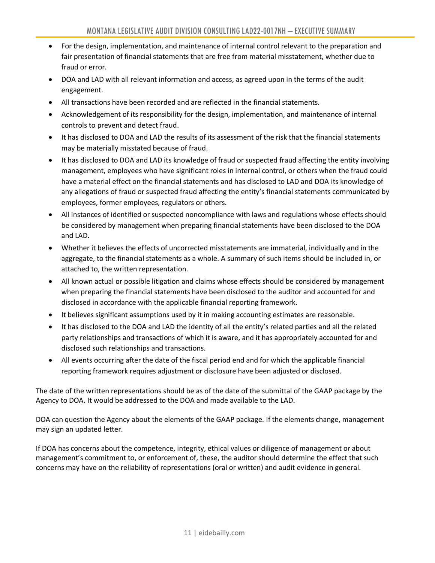- For the design, implementation, and maintenance of internal control relevant to the preparation and fair presentation of financial statements that are free from material misstatement, whether due to fraud or error.
- DOA and LAD with all relevant information and access, as agreed upon in the terms of the audit engagement.
- All transactions have been recorded and are reflected in the financial statements.
- Acknowledgement of its responsibility for the design, implementation, and maintenance of internal controls to prevent and detect fraud.
- It has disclosed to DOA and LAD the results of its assessment of the risk that the financial statements may be materially misstated because of fraud.
- It has disclosed to DOA and LAD its knowledge of fraud or suspected fraud affecting the entity involving management, employees who have significant roles in internal control, or others when the fraud could have a material effect on the financial statements and has disclosed to LAD and DOA its knowledge of any allegations of fraud or suspected fraud affecting the entity's financial statements communicated by employees, former employees, regulators or others.
- All instances of identified or suspected noncompliance with laws and regulations whose effects should be considered by management when preparing financial statements have been disclosed to the DOA and LAD.
- Whether it believes the effects of uncorrected misstatements are immaterial, individually and in the aggregate, to the financial statements as a whole. A summary of such items should be included in, or attached to, the written representation.
- All known actual or possible litigation and claims whose effects should be considered by management when preparing the financial statements have been disclosed to the auditor and accounted for and disclosed in accordance with the applicable financial reporting framework.
- It believes significant assumptions used by it in making accounting estimates are reasonable.
- It has disclosed to the DOA and LAD the identity of all the entity's related parties and all the related party relationships and transactions of which it is aware, and it has appropriately accounted for and disclosed such relationships and transactions.
- All events occurring after the date of the fiscal period end and for which the applicable financial reporting framework requires adjustment or disclosure have been adjusted or disclosed.

The date of the written representations should be as of the date of the submittal of the GAAP package by the Agency to DOA. It would be addressed to the DOA and made available to the LAD.

DOA can question the Agency about the elements of the GAAP package. If the elements change, management may sign an updated letter.

If DOA has concerns about the competence, integrity, ethical values or diligence of management or about management's commitment to, or enforcement of, these, the auditor should determine the effect that such concerns may have on the reliability of representations (oral or written) and audit evidence in general.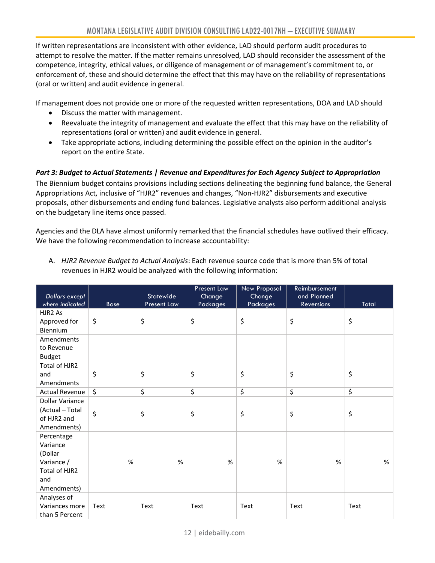If written representations are inconsistent with other evidence, LAD should perform audit procedures to attempt to resolve the matter. If the matter remains unresolved, LAD should reconsider the assessment of the competence, integrity, ethical values, or diligence of management or of management's commitment to, or enforcement of, these and should determine the effect that this may have on the reliability of representations (oral or written) and audit evidence in general.

If management does not provide one or more of the requested written representations, DOA and LAD should

- Discuss the matter with management.
- Reevaluate the integrity of management and evaluate the effect that this may have on the reliability of representations (oral or written) and audit evidence in general.
- Take appropriate actions, including determining the possible effect on the opinion in the auditor's report on the entire State.

#### <span id="page-11-0"></span>*Part 3: Budget to Actual Statements | Revenue and Expenditures for Each Agency Subject to Appropriation*

The Biennium budget contains provisions including sections delineating the beginning fund balance, the General Appropriations Act, inclusive of "HJR2" revenues and changes, "Non-HJR2" disbursements and executive proposals, other disbursements and ending fund balances. Legislative analysts also perform additional analysis on the budgetary line items once passed.

Agencies and the DLA have almost uniformly remarked that the financial schedules have outlived their efficacy. We have the following recommendation to increase accountability:

| Dollars except<br>where indicated                                                      | <b>Base</b> | <b>Statewide</b><br>Present Law | Present Law<br>Change<br>Packages | <b>New Proposal</b><br>Change<br><b>Packages</b> | Reimbursement<br>and Planned<br>Reversions | Total |
|----------------------------------------------------------------------------------------|-------------|---------------------------------|-----------------------------------|--------------------------------------------------|--------------------------------------------|-------|
| HJR <sub>2</sub> As<br>Approved for<br>Biennium                                        | \$          | \$                              | \$                                | \$                                               | \$                                         | \$    |
| Amendments<br>to Revenue<br><b>Budget</b>                                              |             |                                 |                                   |                                                  |                                            |       |
| Total of HJR2<br>and<br>Amendments                                                     | \$          | \$                              | \$                                | \$                                               | \$                                         | \$    |
| <b>Actual Revenue</b>                                                                  | \$          | \$                              | \$                                | \$                                               | \$                                         | \$    |
| <b>Dollar Variance</b><br>(Actual - Total<br>of HJR2 and<br>Amendments)                | \$          | \$                              | \$                                | \$                                               | \$                                         | \$    |
| Percentage<br>Variance<br>(Dollar<br>Variance /<br>Total of HJR2<br>and<br>Amendments) | %           | %                               | %                                 | %                                                | %                                          | %     |
| Analyses of<br>Variances more<br>than 5 Percent                                        | Text        | Text                            | Text                              | Text                                             | Text                                       | Text  |

A. *HJR2 Revenue Budget to Actual Analysis*: Each revenue source code that is more than 5% of total revenues in HJR2 would be analyzed with the following information: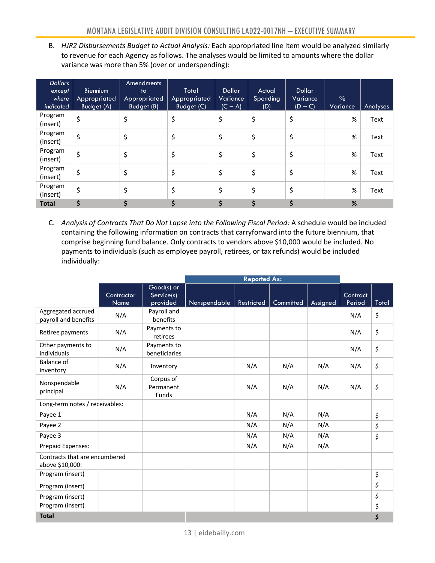B. *HJR2 Disbursements Budget to Actual Analysis:* Each appropriated line item would be analyzed similarly to revenue for each Agency as follows. The analyses would be limited to amounts where the dollar variance was more than 5% (over or underspending):

| <b>Dollars</b><br>except<br>where<br>indicated | <b>Biennium</b><br>Appropriated<br>Budget (A) | Amendments<br>to<br><b>Appropriated</b><br><b>Budget (B)</b> | Total<br>Appropriated<br><b>Budget (C)</b> | Dollar<br>Variance<br>$(C - A)$ | Actual<br>Spending<br>(D) | Dollar<br>Variance<br>$(D - C)$ | $\frac{0}{0}$<br>Variance | Analyses |
|------------------------------------------------|-----------------------------------------------|--------------------------------------------------------------|--------------------------------------------|---------------------------------|---------------------------|---------------------------------|---------------------------|----------|
| Program<br>(insert)                            | \$                                            | \$                                                           | \$                                         | \$                              | \$                        | \$                              | %                         | Text     |
| Program<br>(insert)                            | \$                                            | \$                                                           | \$                                         | \$                              | \$                        | \$                              | %                         | Text     |
| Program<br>(insert)                            | \$                                            | \$                                                           | \$                                         | \$                              | \$                        | \$                              | %                         | Text     |
| Program<br>(insert)                            | \$                                            | \$                                                           | \$                                         | \$                              | \$                        | \$                              | %                         | Text     |
| Program<br>(insert)                            | \$                                            | \$                                                           | \$                                         | \$                              | \$                        | \$                              | %                         | Text     |
| <b>Total</b>                                   | \$                                            |                                                              |                                            | \$                              | \$                        | \$                              | %                         |          |

C. *Analysis of Contracts That Do Not Lapse into the Following Fiscal Period:* A schedule would be included containing the following information on contracts that carryforward into the future biennium, that comprise beginning fund balance. Only contracts to vendors above \$10,000 would be included. No payments to individuals (such as employee payroll, retirees, or tax refunds) would be included individually:

|                                                  |                           |                                      | <b>Reported As:</b> |                   |           |          |                    |       |
|--------------------------------------------------|---------------------------|--------------------------------------|---------------------|-------------------|-----------|----------|--------------------|-------|
|                                                  | Contractor<br><b>Name</b> | Good(s) or<br>Service(s)<br>provided | Nonspendable        | <b>Restricted</b> | Committed | Assigned | Contract<br>Period | Total |
| Aggregated accrued<br>payroll and benefits       | N/A                       | Payroll and<br>benefits              |                     |                   |           |          | N/A                | \$    |
| Retiree payments                                 | N/A                       | Payments to<br>retirees              |                     |                   |           |          | N/A                | \$    |
| Other payments to<br>individuals                 | N/A                       | Payments to<br>beneficiaries         |                     |                   |           |          | N/A                | \$    |
| Balance of<br>inventory                          | N/A                       | Inventory                            |                     | N/A               | N/A       | N/A      | N/A                | \$    |
| Nonspendable<br>principal                        | N/A                       | Corpus of<br>Permanent<br>Funds      |                     | N/A               | N/A       | N/A      | N/A                | \$    |
| Long-term notes / receivables:                   |                           |                                      |                     |                   |           |          |                    |       |
| Payee 1                                          |                           |                                      |                     | N/A               | N/A       | N/A      |                    | \$    |
| Payee 2                                          |                           |                                      |                     | N/A               | N/A       | N/A      |                    | \$    |
| Payee 3                                          |                           |                                      |                     | N/A               | N/A       | N/A      |                    | \$    |
| Prepaid Expenses:                                |                           |                                      |                     | N/A               | N/A       | N/A      |                    |       |
| Contracts that are encumbered<br>above \$10,000: |                           |                                      |                     |                   |           |          |                    |       |
| Program (insert)                                 |                           |                                      |                     |                   |           |          |                    | \$    |
| Program (insert)                                 |                           |                                      |                     |                   |           |          |                    | \$    |
| Program (insert)                                 |                           |                                      |                     |                   |           |          |                    | \$    |
| Program (insert)                                 |                           |                                      |                     |                   |           |          |                    | \$    |
| <b>Total</b><br>\$                               |                           |                                      |                     |                   |           |          |                    |       |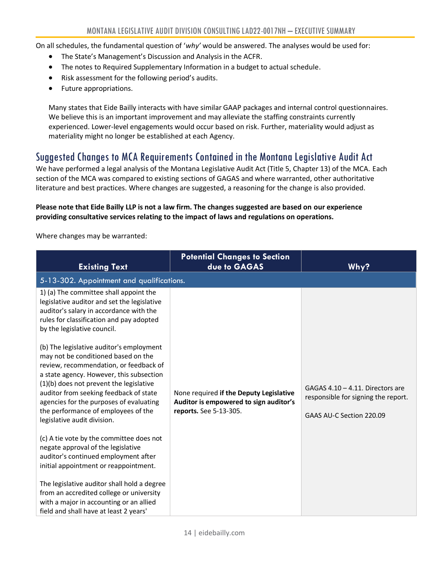On all schedules, the fundamental question of '*why'* would be answered. The analyses would be used for:

- The State's Management's Discussion and Analysis in the ACFR.
- The notes to Required Supplementary Information in a budget to actual schedule.
- Risk assessment for the following period's audits.
- Future appropriations.

Many states that Eide Bailly interacts with have similar GAAP packages and internal control questionnaires. We believe this is an important improvement and may alleviate the staffing constraints currently experienced. Lower-level engagements would occur based on risk. Further, materiality would adjust as materiality might no longer be established at each Agency.

## <span id="page-13-0"></span>Suggested Changes to MCA Requirements Contained in the Montana Legislative Audit Act

We have performed a legal analysis of the Montana Legislative Audit Act (Title 5, Chapter 13) of the MCA. Each section of the MCA was compared to existing sections of GAGAS and where warranted, other authoritative literature and best practices. Where changes are suggested, a reasoning for the change is also provided.

#### **Please note that Eide Bailly LLP is not a law firm. The changes suggested are based on our experience providing consultative services relating to the impact of laws and regulations on operations.**

Where changes may be warranted:

| <b>Existing Text</b>                                                                                                                                                                                                                                                                                                                                                          | <b>Potential Changes to Section</b><br>due to GAGAS                                                         | Why?                                                                                                   |  |  |  |  |  |  |
|-------------------------------------------------------------------------------------------------------------------------------------------------------------------------------------------------------------------------------------------------------------------------------------------------------------------------------------------------------------------------------|-------------------------------------------------------------------------------------------------------------|--------------------------------------------------------------------------------------------------------|--|--|--|--|--|--|
| 5-13-302. Appointment and qualifications.                                                                                                                                                                                                                                                                                                                                     |                                                                                                             |                                                                                                        |  |  |  |  |  |  |
| 1) (a) The committee shall appoint the<br>legislative auditor and set the legislative<br>auditor's salary in accordance with the<br>rules for classification and pay adopted<br>by the legislative council.                                                                                                                                                                   |                                                                                                             |                                                                                                        |  |  |  |  |  |  |
| (b) The legislative auditor's employment<br>may not be conditioned based on the<br>review, recommendation, or feedback of<br>a state agency. However, this subsection<br>$(1)(b)$ does not prevent the legislative<br>auditor from seeking feedback of state<br>agencies for the purposes of evaluating<br>the performance of employees of the<br>legislative audit division. | None required if the Deputy Legislative<br>Auditor is empowered to sign auditor's<br>reports. See 5-13-305. | GAGAS $4.10 - 4.11$ . Directors are<br>responsible for signing the report.<br>GAAS AU-C Section 220.09 |  |  |  |  |  |  |
| (c) A tie vote by the committee does not<br>negate approval of the legislative<br>auditor's continued employment after<br>initial appointment or reappointment.                                                                                                                                                                                                               |                                                                                                             |                                                                                                        |  |  |  |  |  |  |
| The legislative auditor shall hold a degree<br>from an accredited college or university<br>with a major in accounting or an allied<br>field and shall have at least 2 years'                                                                                                                                                                                                  |                                                                                                             |                                                                                                        |  |  |  |  |  |  |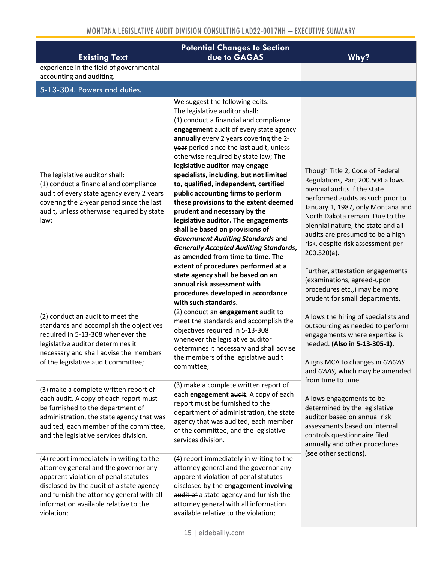| <b>Existing Text</b>                                                                                                                                                                                                                                                      | <b>Potential Changes to Section</b><br>due to GAGAS                                                                                                                                                                                                                                                                                                                                                                                                                                                                                                                                                                                                                                                                                                                                                                                                                                                            | Why?                                                                                                                                                                                                                                                                                                                                                                                                                                                                                   |
|---------------------------------------------------------------------------------------------------------------------------------------------------------------------------------------------------------------------------------------------------------------------------|----------------------------------------------------------------------------------------------------------------------------------------------------------------------------------------------------------------------------------------------------------------------------------------------------------------------------------------------------------------------------------------------------------------------------------------------------------------------------------------------------------------------------------------------------------------------------------------------------------------------------------------------------------------------------------------------------------------------------------------------------------------------------------------------------------------------------------------------------------------------------------------------------------------|----------------------------------------------------------------------------------------------------------------------------------------------------------------------------------------------------------------------------------------------------------------------------------------------------------------------------------------------------------------------------------------------------------------------------------------------------------------------------------------|
| experience in the field of governmental<br>accounting and auditing.                                                                                                                                                                                                       |                                                                                                                                                                                                                                                                                                                                                                                                                                                                                                                                                                                                                                                                                                                                                                                                                                                                                                                |                                                                                                                                                                                                                                                                                                                                                                                                                                                                                        |
| 5-13-304. Powers and duties.                                                                                                                                                                                                                                              |                                                                                                                                                                                                                                                                                                                                                                                                                                                                                                                                                                                                                                                                                                                                                                                                                                                                                                                |                                                                                                                                                                                                                                                                                                                                                                                                                                                                                        |
| The legislative auditor shall:<br>(1) conduct a financial and compliance<br>audit of every state agency every 2 years<br>covering the 2-year period since the last<br>audit, unless otherwise required by state<br>law;                                                   | We suggest the following edits:<br>The legislative auditor shall:<br>(1) conduct a financial and compliance<br>engagement audit of every state agency<br>annually every 2 years covering the 2-<br>year period since the last audit, unless<br>otherwise required by state law; The<br>legislative auditor may engage<br>specialists, including, but not limited<br>to, qualified, independent, certified<br>public accounting firms to perform<br>these provisions to the extent deemed<br>prudent and necessary by the<br>legislative auditor. The engagements<br>shall be based on provisions of<br><b>Government Auditing Standards and</b><br><b>Generally Accepted Auditing Standards,</b><br>as amended from time to time. The<br>extent of procedures performed at a<br>state agency shall be based on an<br>annual risk assessment with<br>procedures developed in accordance<br>with such standards. | Though Title 2, Code of Federal<br>Regulations, Part 200.504 allows<br>biennial audits if the state<br>performed audits as such prior to<br>January 1, 1987, only Montana and<br>North Dakota remain. Due to the<br>biennial nature, the state and all<br>audits are presumed to be a high<br>risk, despite risk assessment per<br>$200.520(a)$ .<br>Further, attestation engagements<br>(examinations, agreed-upon<br>procedures etc.,) may be more<br>prudent for small departments. |
| (2) conduct an audit to meet the<br>standards and accomplish the objectives<br>required in 5-13-308 whenever the<br>legislative auditor determines it<br>necessary and shall advise the members<br>of the legislative audit committee;                                    | (2) conduct an engagement audit to<br>meet the standards and accomplish the<br>objectives required in 5-13-308<br>whenever the legislative auditor<br>determines it necessary and shall advise<br>the members of the legislative audit<br>committee;                                                                                                                                                                                                                                                                                                                                                                                                                                                                                                                                                                                                                                                           | Allows the hiring of specialists and<br>outsourcing as needed to perform<br>engagements where expertise is<br>needed. (Also in 5-13-305-1).<br>Aligns MCA to changes in GAGAS<br>and GAAS, which may be amended                                                                                                                                                                                                                                                                        |
| (3) make a complete written report of<br>each audit. A copy of each report must<br>be furnished to the department of<br>administration, the state agency that was<br>audited, each member of the committee,<br>and the legislative services division.                     | (3) make a complete written report of<br>each engagement audit. A copy of each<br>report must be furnished to the<br>department of administration, the state<br>agency that was audited, each member<br>of the committee, and the legislative<br>services division.                                                                                                                                                                                                                                                                                                                                                                                                                                                                                                                                                                                                                                            | from time to time.<br>Allows engagements to be<br>determined by the legislative<br>auditor based on annual risk<br>assessments based on internal<br>controls questionnaire filed<br>annually and other procedures<br>(see other sections).                                                                                                                                                                                                                                             |
| (4) report immediately in writing to the<br>attorney general and the governor any<br>apparent violation of penal statutes<br>disclosed by the audit of a state agency<br>and furnish the attorney general with all<br>information available relative to the<br>violation; | (4) report immediately in writing to the<br>attorney general and the governor any<br>apparent violation of penal statutes<br>disclosed by the engagement involving<br>audit of a state agency and furnish the<br>attorney general with all information<br>available relative to the violation;                                                                                                                                                                                                                                                                                                                                                                                                                                                                                                                                                                                                                 |                                                                                                                                                                                                                                                                                                                                                                                                                                                                                        |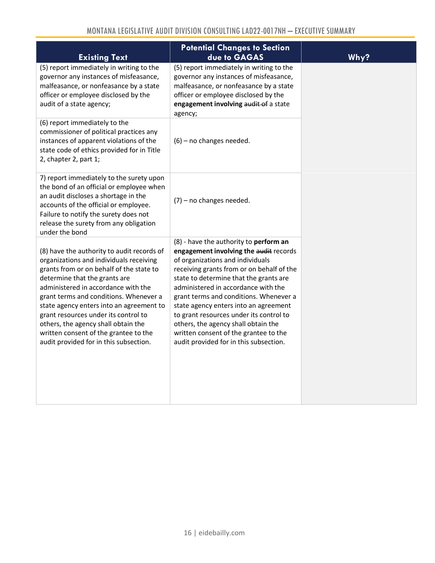| <b>Existing Text</b>                                                                                                                                                                                                                                                                                                                                                                                                                                              | <b>Potential Changes to Section</b><br>due to GAGAS                                                                                                                                                                                                                                                                                                                                                                                                                                                        | Why? |
|-------------------------------------------------------------------------------------------------------------------------------------------------------------------------------------------------------------------------------------------------------------------------------------------------------------------------------------------------------------------------------------------------------------------------------------------------------------------|------------------------------------------------------------------------------------------------------------------------------------------------------------------------------------------------------------------------------------------------------------------------------------------------------------------------------------------------------------------------------------------------------------------------------------------------------------------------------------------------------------|------|
| (5) report immediately in writing to the<br>governor any instances of misfeasance,<br>malfeasance, or nonfeasance by a state<br>officer or employee disclosed by the<br>audit of a state agency;                                                                                                                                                                                                                                                                  | (5) report immediately in writing to the<br>governor any instances of misfeasance,<br>malfeasance, or nonfeasance by a state<br>officer or employee disclosed by the<br>engagement involving audit of a state<br>agency;                                                                                                                                                                                                                                                                                   |      |
| (6) report immediately to the<br>commissioner of political practices any<br>instances of apparent violations of the<br>state code of ethics provided for in Title<br>2, chapter 2, part 1;                                                                                                                                                                                                                                                                        | $(6)$ – no changes needed.                                                                                                                                                                                                                                                                                                                                                                                                                                                                                 |      |
| 7) report immediately to the surety upon<br>the bond of an official or employee when<br>an audit discloses a shortage in the<br>accounts of the official or employee.<br>Failure to notify the surety does not<br>release the surety from any obligation<br>under the bond                                                                                                                                                                                        | $(7)$ – no changes needed.                                                                                                                                                                                                                                                                                                                                                                                                                                                                                 |      |
| (8) have the authority to audit records of<br>organizations and individuals receiving<br>grants from or on behalf of the state to<br>determine that the grants are<br>administered in accordance with the<br>grant terms and conditions. Whenever a<br>state agency enters into an agreement to<br>grant resources under its control to<br>others, the agency shall obtain the<br>written consent of the grantee to the<br>audit provided for in this subsection. | (8) - have the authority to perform an<br>engagement involving the audit records<br>of organizations and individuals<br>receiving grants from or on behalf of the<br>state to determine that the grants are<br>administered in accordance with the<br>grant terms and conditions. Whenever a<br>state agency enters into an agreement<br>to grant resources under its control to<br>others, the agency shall obtain the<br>written consent of the grantee to the<br>audit provided for in this subsection. |      |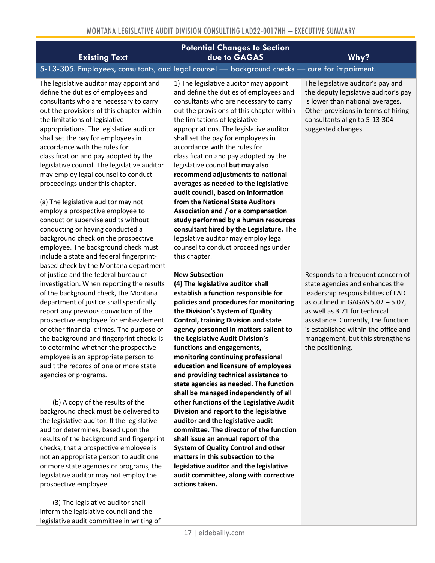| MONTANA LEGISLATIVE AUDIT DIVISION CONSULTING LAD22-0017NH - EXECUTIVE SUMMARY                                                                                                                                                                                                                                                                                                                                                                                                                                                                                                                                                                                                                                                  |                                                                                                                                                                                                                                                                                                                                                                                                                                                                                                                                                                                                                                                                                                                                                                              |                                                                                                                                                                                                                                                                                                                            |  |  |  |
|---------------------------------------------------------------------------------------------------------------------------------------------------------------------------------------------------------------------------------------------------------------------------------------------------------------------------------------------------------------------------------------------------------------------------------------------------------------------------------------------------------------------------------------------------------------------------------------------------------------------------------------------------------------------------------------------------------------------------------|------------------------------------------------------------------------------------------------------------------------------------------------------------------------------------------------------------------------------------------------------------------------------------------------------------------------------------------------------------------------------------------------------------------------------------------------------------------------------------------------------------------------------------------------------------------------------------------------------------------------------------------------------------------------------------------------------------------------------------------------------------------------------|----------------------------------------------------------------------------------------------------------------------------------------------------------------------------------------------------------------------------------------------------------------------------------------------------------------------------|--|--|--|
| <b>Existing Text</b>                                                                                                                                                                                                                                                                                                                                                                                                                                                                                                                                                                                                                                                                                                            | <b>Potential Changes to Section</b><br>due to GAGAS                                                                                                                                                                                                                                                                                                                                                                                                                                                                                                                                                                                                                                                                                                                          | Why?                                                                                                                                                                                                                                                                                                                       |  |  |  |
|                                                                                                                                                                                                                                                                                                                                                                                                                                                                                                                                                                                                                                                                                                                                 | 5-13-305. Employees, consultants, and legal counsel - background checks - cure for impairment.                                                                                                                                                                                                                                                                                                                                                                                                                                                                                                                                                                                                                                                                               |                                                                                                                                                                                                                                                                                                                            |  |  |  |
| The legislative auditor may appoint and<br>define the duties of employees and<br>consultants who are necessary to carry<br>out the provisions of this chapter within<br>the limitations of legislative<br>appropriations. The legislative auditor<br>shall set the pay for employees in<br>accordance with the rules for<br>classification and pay adopted by the<br>legislative council. The legislative auditor<br>may employ legal counsel to conduct<br>proceedings under this chapter.<br>(a) The legislative auditor may not<br>employ a prospective employee to<br>conduct or supervise audits without<br>conducting or having conducted a<br>background check on the prospective<br>employee. The background check must | 1) The legislative auditor may appoint<br>and define the duties of employees and<br>consultants who are necessary to carry<br>out the provisions of this chapter within<br>the limitations of legislative<br>appropriations. The legislative auditor<br>shall set the pay for employees in<br>accordance with the rules for<br>classification and pay adopted by the<br>legislative council but may also<br>recommend adjustments to national<br>averages as needed to the legislative<br>audit council, based on information<br>from the National State Auditors<br>Association and / or a compensation<br>study performed by a human resources<br>consultant hired by the Legislature. The<br>legislative auditor may employ legal<br>counsel to conduct proceedings under | The legislative auditor's pay and<br>the deputy legislative auditor's pay<br>is lower than national averages.<br>Other provisions in terms of hiring<br>consultants align to 5-13-304<br>suggested changes.                                                                                                                |  |  |  |
| include a state and federal fingerprint-<br>based check by the Montana department<br>of justice and the federal bureau of<br>investigation. When reporting the results<br>of the background check, the Montana<br>department of justice shall specifically<br>report any previous conviction of the<br>prospective employee for embezzlement<br>or other financial crimes. The purpose of<br>the background and fingerprint checks is<br>to determine whether the prospective<br>employee is an appropriate person to<br>audit the records of one or more state<br>agencies or programs.                                                                                                                                        | this chapter.<br><b>New Subsection</b><br>(4) The legislative auditor shall<br>establish a function responsible for<br>policies and procedures for monitoring<br>the Division's System of Quality<br><b>Control, training Division and state</b><br>agency personnel in matters salient to<br>the Legislative Audit Division's<br>functions and engagements,<br>monitoring continuing professional<br>education and licensure of employees<br>and providing technical assistance to<br>state agencies as needed. The function                                                                                                                                                                                                                                                | Responds to a frequent concern of<br>state agencies and enhances the<br>leadership responsibilities of LAD<br>as outlined in GAGAS $5.02 - 5.07$ ,<br>as well as 3.71 for technical<br>assistance. Currently, the function<br>is established within the office and<br>management, but this strengthens<br>the positioning. |  |  |  |

**shall be managed independently of all other functions of the Legislative Audit Division and report to the legislative auditor and the legislative audit** 

**committee. The director of the function shall issue an annual report of the System of Quality Control and other matters in this subsection to the legislative auditor and the legislative audit committee, along with corrective** 

(3) The legislative auditor shall inform the legislative council and the legislative audit committee in writing of

(b) A copy of the results of the background check must be delivered to the legislative auditor. If the legislative auditor determines, based upon the results of the background and fingerprint checks, that a prospective employee is not an appropriate person to audit one or more state agencies or programs, the legislative auditor may not employ the

prospective employee.

**actions taken.**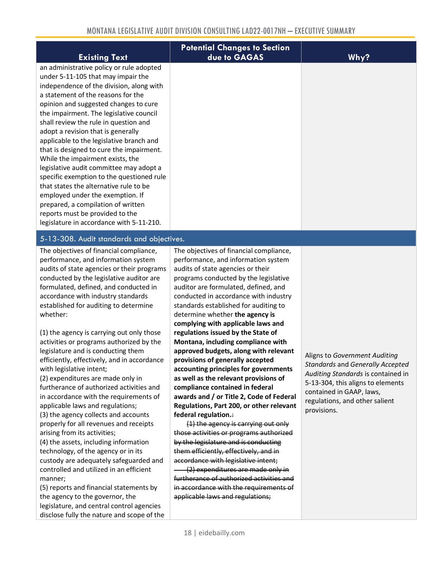| <b>Existing Text</b>                                                                                                                                                                                                                                                                                                                                                                                                                                                                                                                                                                                                                                                                                                                                       | <b>Potential Changes to Section</b><br>due to GAGAS | Why? |
|------------------------------------------------------------------------------------------------------------------------------------------------------------------------------------------------------------------------------------------------------------------------------------------------------------------------------------------------------------------------------------------------------------------------------------------------------------------------------------------------------------------------------------------------------------------------------------------------------------------------------------------------------------------------------------------------------------------------------------------------------------|-----------------------------------------------------|------|
| an administrative policy or rule adopted<br>under 5-11-105 that may impair the<br>independence of the division, along with<br>a statement of the reasons for the<br>opinion and suggested changes to cure<br>the impairment. The legislative council<br>shall review the rule in question and<br>adopt a revision that is generally<br>applicable to the legislative branch and<br>that is designed to cure the impairment.<br>While the impairment exists, the<br>legislative audit committee may adopt a<br>specific exemption to the questioned rule<br>that states the alternative rule to be<br>employed under the exemption. If<br>prepared, a compilation of written<br>reports must be provided to the<br>legislature in accordance with 5-11-210. |                                                     |      |

#### 5-13-308. Audit standards and objectives.

The objectives of financial compliance, performance, and information system audits of state agencies or their programs conducted by the legislative auditor are formulated, defined, and conducted in accordance with industry standards established for auditing to determine whether:

(1) the agency is carrying out only those activities or programs authorized by the legislature and is conducting them efficiently, effectively, and in accordance with legislative intent;

(2) expenditures are made only in furtherance of authorized activities and in accordance with the requirements of applicable laws and regulations;

(3) the agency collects and accounts properly for all revenues and receipts arising from its activities;

(4) the assets, including information technology, of the agency or in its custody are adequately safeguarded and controlled and utilized in an efficient manner;

(5) reports and financial statements by the agency to the governor, the legislature, and central control agencies disclose fully the nature and scope of the The objectives of financial compliance, performance, and information system audits of state agencies or their programs conducted by the legislative auditor are formulated, defined, and conducted in accordance with industry standards established for auditing to determine whether **the agency is complying with applicable laws and regulations issued by the State of Montana, including compliance with approved budgets, along with relevant provisions of generally accepted accounting principles for governments as well as the relevant provisions of compliance contained in federal awards and / or Title 2, Code of Federal Regulations, Part 200, or other relevant federal regulation.**:

(1) the agency is carrying out only those activities or programs authorized by the legislature and is conducting them efficiently, effectively, and in accordance with legislative intent; (2) expenditures are made only in

furtherance of authorized activities and in accordance with the requirements of applicable laws and regulations;

Aligns to *Government Auditing Standards* and *Generally Accepted Auditing Standards* is contained in 5-13-304, this aligns to elements contained in GAAP, laws, regulations, and other salient provisions.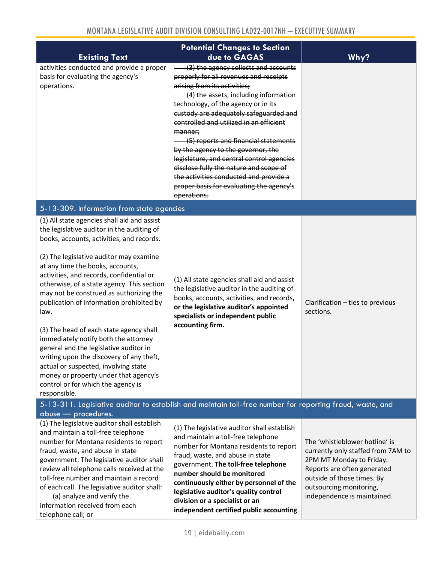| <b>Existing Text</b>                                                                                                                                                                                                                                                                                                                                                                                                                                                                                                                                                                                                                                                                                                           | <b>Potential Changes to Section</b><br>due to GAGAS                                                                                                                                                                                                                                                                                                                                                                                                                                                                                                                      | Why?                                          |  |  |  |
|--------------------------------------------------------------------------------------------------------------------------------------------------------------------------------------------------------------------------------------------------------------------------------------------------------------------------------------------------------------------------------------------------------------------------------------------------------------------------------------------------------------------------------------------------------------------------------------------------------------------------------------------------------------------------------------------------------------------------------|--------------------------------------------------------------------------------------------------------------------------------------------------------------------------------------------------------------------------------------------------------------------------------------------------------------------------------------------------------------------------------------------------------------------------------------------------------------------------------------------------------------------------------------------------------------------------|-----------------------------------------------|--|--|--|
| activities conducted and provide a proper<br>basis for evaluating the agency's<br>operations.                                                                                                                                                                                                                                                                                                                                                                                                                                                                                                                                                                                                                                  | (3) the agency collects and accounts<br>properly for all revenues and receipts<br>arising from its activities;<br>(4) the assets, including information<br>technology, of the agency or in its<br>custody are adequately safeguarded and<br>controlled and utilized in an efficient<br>manner;<br>(5) reports and financial statements<br>by the agency to the governor, the<br>legislature, and central control agencies<br>disclose fully the nature and scope of<br>the activities conducted and provide a<br>proper basis for evaluating the agency's<br>operations. |                                               |  |  |  |
| 5-13-309. Information from state agencies                                                                                                                                                                                                                                                                                                                                                                                                                                                                                                                                                                                                                                                                                      |                                                                                                                                                                                                                                                                                                                                                                                                                                                                                                                                                                          |                                               |  |  |  |
| (1) All state agencies shall aid and assist<br>the legislative auditor in the auditing of<br>books, accounts, activities, and records.<br>(2) The legislative auditor may examine<br>at any time the books, accounts,<br>activities, and records, confidential or<br>otherwise, of a state agency. This section<br>may not be construed as authorizing the<br>publication of information prohibited by<br>law.<br>(3) The head of each state agency shall<br>immediately notify both the attorney<br>general and the legislative auditor in<br>writing upon the discovery of any theft,<br>actual or suspected, involving state<br>money or property under that agency's<br>control or for which the agency is<br>responsible. | (1) All state agencies shall aid and assist<br>the legislative auditor in the auditing of<br>books, accounts, activities, and records,<br>or the legislative auditor's appointed<br>specialists or independent public<br>accounting firm.                                                                                                                                                                                                                                                                                                                                | Clarification - ties to previous<br>sections. |  |  |  |
| 5-13-311. Legislative auditor to establish and maintain toll-free number for reporting fraud, waste, and<br>abuse - procedures.                                                                                                                                                                                                                                                                                                                                                                                                                                                                                                                                                                                                |                                                                                                                                                                                                                                                                                                                                                                                                                                                                                                                                                                          |                                               |  |  |  |

| (1) The legislative auditor shall establish<br>and maintain a toll-free telephone<br>number for Montana residents to report<br>fraud, waste, and abuse in state<br>government. The legislative auditor shall<br>review all telephone calls received at the<br>toll-free number and maintain a record<br>of each call. The legislative auditor shall:<br>(a) analyze and verify the<br>information received from each<br>telephone call; or | (1) The legislative auditor shall establish<br>and maintain a toll-free telephone<br>number for Montana residents to report<br>fraud, waste, and abuse in state<br>government. The toll-free telephone<br>number should be monitored<br>continuously either by personnel of the<br>legislative auditor's quality control<br>division or a specialist or an<br>independent certified public accounting | The 'whistleblower hotline' is<br>currently only staffed from 7AM to<br>2PM MT Monday to Friday.<br>Reports are often generated<br>outside of those times. By<br>outsourcing monitoring,<br>independence is maintained. |
|--------------------------------------------------------------------------------------------------------------------------------------------------------------------------------------------------------------------------------------------------------------------------------------------------------------------------------------------------------------------------------------------------------------------------------------------|-------------------------------------------------------------------------------------------------------------------------------------------------------------------------------------------------------------------------------------------------------------------------------------------------------------------------------------------------------------------------------------------------------|-------------------------------------------------------------------------------------------------------------------------------------------------------------------------------------------------------------------------|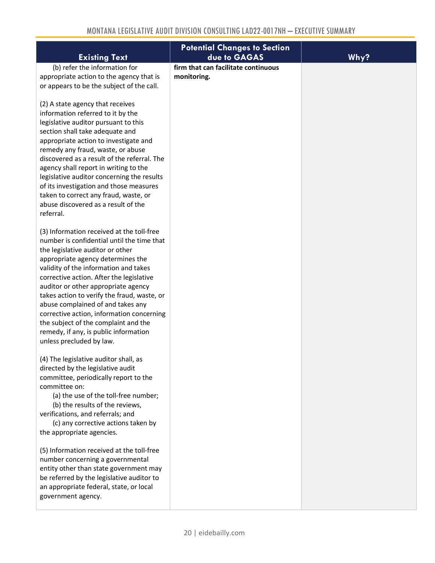| <b>Existing Text</b>                                                                                                                                                                                                                                                                                                                                                                                                                                                                                                                                                                                                                   | <b>Potential Changes to Section</b><br>due to GAGAS | Why? |
|----------------------------------------------------------------------------------------------------------------------------------------------------------------------------------------------------------------------------------------------------------------------------------------------------------------------------------------------------------------------------------------------------------------------------------------------------------------------------------------------------------------------------------------------------------------------------------------------------------------------------------------|-----------------------------------------------------|------|
| (b) refer the information for<br>appropriate action to the agency that is<br>or appears to be the subject of the call.<br>(2) A state agency that receives<br>information referred to it by the<br>legislative auditor pursuant to this<br>section shall take adequate and<br>appropriate action to investigate and<br>remedy any fraud, waste, or abuse<br>discovered as a result of the referral. The<br>agency shall report in writing to the<br>legislative auditor concerning the results<br>of its investigation and those measures<br>taken to correct any fraud, waste, or<br>abuse discovered as a result of the<br>referral. | firm that can facilitate continuous<br>monitoring.  |      |
| (3) Information received at the toll-free<br>number is confidential until the time that<br>the legislative auditor or other<br>appropriate agency determines the<br>validity of the information and takes<br>corrective action. After the legislative<br>auditor or other appropriate agency<br>takes action to verify the fraud, waste, or<br>abuse complained of and takes any<br>corrective action, information concerning<br>the subject of the complaint and the<br>remedy, if any, is public information<br>unless precluded by law.                                                                                             |                                                     |      |
| (4) The legislative auditor shall, as<br>directed by the legislative audit<br>committee, periodically report to the<br>committee on:<br>(a) the use of the toll-free number;<br>(b) the results of the reviews,<br>verifications, and referrals; and<br>(c) any corrective actions taken by<br>the appropriate agencies.                                                                                                                                                                                                                                                                                                               |                                                     |      |
| (5) Information received at the toll-free<br>number concerning a governmental<br>entity other than state government may<br>be referred by the legislative auditor to<br>an appropriate federal, state, or local<br>government agency.                                                                                                                                                                                                                                                                                                                                                                                                  |                                                     |      |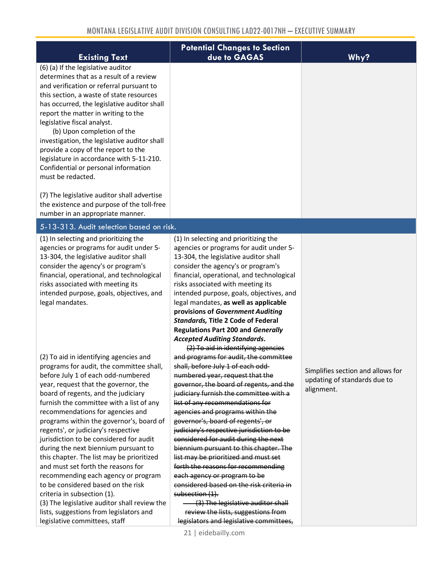| <b>Existing Text</b>                                                           | <b>Potential Changes to Section</b><br>due to GAGAS                               | Why?                              |
|--------------------------------------------------------------------------------|-----------------------------------------------------------------------------------|-----------------------------------|
| (6) (a) If the legislative auditor                                             |                                                                                   |                                   |
| determines that as a result of a review                                        |                                                                                   |                                   |
| and verification or referral pursuant to                                       |                                                                                   |                                   |
| this section, a waste of state resources                                       |                                                                                   |                                   |
| has occurred, the legislative auditor shall                                    |                                                                                   |                                   |
| report the matter in writing to the                                            |                                                                                   |                                   |
| legislative fiscal analyst.                                                    |                                                                                   |                                   |
| (b) Upon completion of the                                                     |                                                                                   |                                   |
| investigation, the legislative auditor shall                                   |                                                                                   |                                   |
| provide a copy of the report to the                                            |                                                                                   |                                   |
| legislature in accordance with 5-11-210.                                       |                                                                                   |                                   |
| Confidential or personal information                                           |                                                                                   |                                   |
| must be redacted.                                                              |                                                                                   |                                   |
|                                                                                |                                                                                   |                                   |
| (7) The legislative auditor shall advertise                                    |                                                                                   |                                   |
| the existence and purpose of the toll-free<br>number in an appropriate manner. |                                                                                   |                                   |
|                                                                                |                                                                                   |                                   |
| 5-13-313. Audit selection based on risk.                                       |                                                                                   |                                   |
| (1) In selecting and prioritizing the                                          | (1) In selecting and prioritizing the                                             |                                   |
| agencies or programs for audit under 5-                                        | agencies or programs for audit under 5-                                           |                                   |
| 13-304, the legislative auditor shall                                          | 13-304, the legislative auditor shall                                             |                                   |
| consider the agency's or program's                                             | consider the agency's or program's                                                |                                   |
| financial, operational, and technological                                      | financial, operational, and technological                                         |                                   |
| risks associated with meeting its<br>intended purpose, goals, objectives, and  | risks associated with meeting its<br>intended purpose, goals, objectives, and     |                                   |
| legal mandates.                                                                | legal mandates, as well as applicable                                             |                                   |
|                                                                                | provisions of Government Auditing                                                 |                                   |
|                                                                                | Standards, Title 2 Code of Federal                                                |                                   |
|                                                                                | <b>Regulations Part 200 and Generally</b>                                         |                                   |
|                                                                                | <b>Accepted Auditing Standards.</b>                                               |                                   |
|                                                                                | (2) To aid in identifying agencies                                                |                                   |
| (2) To aid in identifying agencies and                                         | and programs for audit, the committee                                             |                                   |
| programs for audit, the committee shall,                                       | shall, before July 1 of each odd-                                                 | Simplifies section and allows for |
| before July 1 of each odd-numbered                                             | numbered year, request that the                                                   | updating of standards due to      |
| year, request that the governor, the                                           | governor, the board of regents, and the                                           | alignment.                        |
| board of regents, and the judiciary                                            | judiciary furnish the committee with a                                            |                                   |
| furnish the committee with a list of any                                       | list of any recommendations for                                                   |                                   |
| recommendations for agencies and                                               | agencies and programs within the                                                  |                                   |
| programs within the governor's, board of                                       | governor's, board of regents', or                                                 |                                   |
| regents', or judiciary's respective<br>jurisdiction to be considered for audit | judiciary's respective jurisdiction to be<br>considered for audit during the next |                                   |
| during the next biennium pursuant to                                           | biennium pursuant to this chapter. The                                            |                                   |
| this chapter. The list may be prioritized                                      | list may be prioritized and must set                                              |                                   |
| and must set forth the reasons for                                             | forth the reasons for recommending                                                |                                   |
| recommending each agency or program                                            | each agency or program to be                                                      |                                   |
| to be considered based on the risk                                             | considered based on the risk criteria in                                          |                                   |
| criteria in subsection (1).                                                    | subsection (1).                                                                   |                                   |
| (3) The legislative auditor shall review the                                   | (3) The legislative auditor shall                                                 |                                   |
| lists, suggestions from legislators and                                        | review the lists, suggestions from                                                |                                   |
| legislative committees, staff                                                  | legislators and legislative committees,                                           |                                   |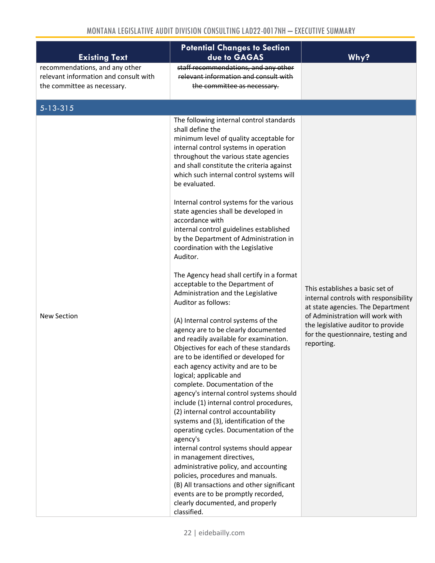| <b>Existing Text</b>                                                                                   | <b>Potential Changes to Section</b><br>due to GAGAS                                                                                                                                                                                                                                                                                                                                                                                                                                                                                                                                                                                                                                                                                                                                                                                                                                                                                                                                                                                                                                                                                                                                                                                                                                                                                                                                                                                                                                                                                     | Why?                                                                                                                                                                                                                                        |
|--------------------------------------------------------------------------------------------------------|-----------------------------------------------------------------------------------------------------------------------------------------------------------------------------------------------------------------------------------------------------------------------------------------------------------------------------------------------------------------------------------------------------------------------------------------------------------------------------------------------------------------------------------------------------------------------------------------------------------------------------------------------------------------------------------------------------------------------------------------------------------------------------------------------------------------------------------------------------------------------------------------------------------------------------------------------------------------------------------------------------------------------------------------------------------------------------------------------------------------------------------------------------------------------------------------------------------------------------------------------------------------------------------------------------------------------------------------------------------------------------------------------------------------------------------------------------------------------------------------------------------------------------------------|---------------------------------------------------------------------------------------------------------------------------------------------------------------------------------------------------------------------------------------------|
| recommendations, and any other<br>relevant information and consult with<br>the committee as necessary. | staff recommendations, and any other<br>relevant information and consult with<br>the committee as necessary.                                                                                                                                                                                                                                                                                                                                                                                                                                                                                                                                                                                                                                                                                                                                                                                                                                                                                                                                                                                                                                                                                                                                                                                                                                                                                                                                                                                                                            |                                                                                                                                                                                                                                             |
| $\overline{5} - 13 - 315$                                                                              |                                                                                                                                                                                                                                                                                                                                                                                                                                                                                                                                                                                                                                                                                                                                                                                                                                                                                                                                                                                                                                                                                                                                                                                                                                                                                                                                                                                                                                                                                                                                         |                                                                                                                                                                                                                                             |
| <b>New Section</b>                                                                                     | The following internal control standards<br>shall define the<br>minimum level of quality acceptable for<br>internal control systems in operation<br>throughout the various state agencies<br>and shall constitute the criteria against<br>which such internal control systems will<br>be evaluated.<br>Internal control systems for the various<br>state agencies shall be developed in<br>accordance with<br>internal control guidelines established<br>by the Department of Administration in<br>coordination with the Legislative<br>Auditor.<br>The Agency head shall certify in a format<br>acceptable to the Department of<br>Administration and the Legislative<br>Auditor as follows:<br>(A) Internal control systems of the<br>agency are to be clearly documented<br>and readily available for examination.<br>Objectives for each of these standards<br>are to be identified or developed for<br>each agency activity and are to be<br>logical; applicable and<br>complete. Documentation of the<br>agency's internal control systems should<br>include (1) internal control procedures,<br>(2) internal control accountability<br>systems and (3), identification of the<br>operating cycles. Documentation of the<br>agency's<br>internal control systems should appear<br>in management directives,<br>administrative policy, and accounting<br>policies, procedures and manuals.<br>(B) All transactions and other significant<br>events are to be promptly recorded,<br>clearly documented, and properly<br>classified. | This establishes a basic set of<br>internal controls with responsibility<br>at state agencies. The Department<br>of Administration will work with<br>the legislative auditor to provide<br>for the questionnaire, testing and<br>reporting. |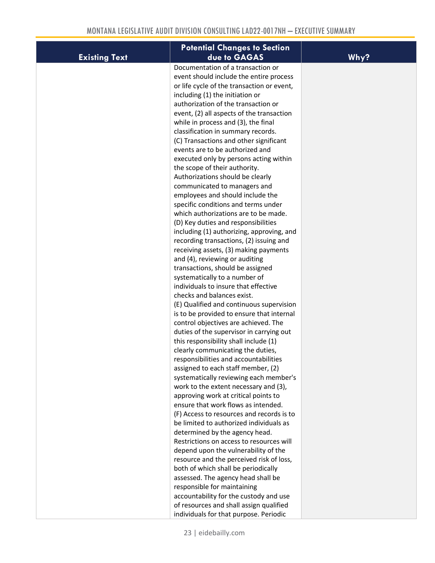|                      | <b>Potential Changes to Section</b>                                   |      |
|----------------------|-----------------------------------------------------------------------|------|
| <b>Existing Text</b> | due to GAGAS                                                          | Why? |
|                      | Documentation of a transaction or                                     |      |
|                      | event should include the entire process                               |      |
|                      | or life cycle of the transaction or event,                            |      |
|                      | including (1) the initiation or                                       |      |
|                      | authorization of the transaction or                                   |      |
|                      | event, (2) all aspects of the transaction                             |      |
|                      | while in process and (3), the final                                   |      |
|                      | classification in summary records.                                    |      |
|                      | (C) Transactions and other significant                                |      |
|                      | events are to be authorized and                                       |      |
|                      | executed only by persons acting within                                |      |
|                      | the scope of their authority.                                         |      |
|                      | Authorizations should be clearly                                      |      |
|                      | communicated to managers and                                          |      |
|                      | employees and should include the                                      |      |
|                      | specific conditions and terms under                                   |      |
|                      | which authorizations are to be made.                                  |      |
|                      | (D) Key duties and responsibilities                                   |      |
|                      | including (1) authorizing, approving, and                             |      |
|                      | recording transactions, (2) issuing and                               |      |
|                      | receiving assets, (3) making payments                                 |      |
|                      | and (4), reviewing or auditing                                        |      |
|                      | transactions, should be assigned                                      |      |
|                      | systematically to a number of<br>individuals to insure that effective |      |
|                      | checks and balances exist.                                            |      |
|                      | (E) Qualified and continuous supervision                              |      |
|                      | is to be provided to ensure that internal                             |      |
|                      | control objectives are achieved. The                                  |      |
|                      | duties of the supervisor in carrying out                              |      |
|                      | this responsibility shall include (1)                                 |      |
|                      | clearly communicating the duties,                                     |      |
|                      | responsibilities and accountabilities                                 |      |
|                      | assigned to each staff member, (2)                                    |      |
|                      | systematically reviewing each member's                                |      |
|                      | work to the extent necessary and (3),                                 |      |
|                      | approving work at critical points to                                  |      |
|                      | ensure that work flows as intended.                                   |      |
|                      | (F) Access to resources and records is to                             |      |
|                      | be limited to authorized individuals as                               |      |
|                      | determined by the agency head.                                        |      |
|                      | Restrictions on access to resources will                              |      |
|                      | depend upon the vulnerability of the                                  |      |
|                      | resource and the perceived risk of loss,                              |      |
|                      | both of which shall be periodically                                   |      |
|                      | assessed. The agency head shall be                                    |      |
|                      | responsible for maintaining                                           |      |
|                      | accountability for the custody and use                                |      |
|                      | of resources and shall assign qualified                               |      |
|                      | individuals for that purpose. Periodic                                |      |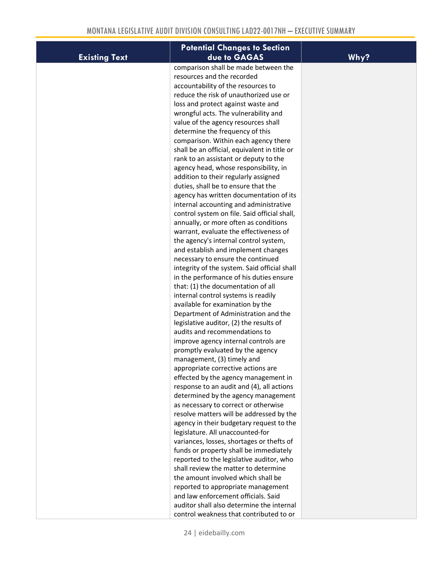|                      | <b>Potential Changes to Section</b>                                         |      |
|----------------------|-----------------------------------------------------------------------------|------|
| <b>Existing Text</b> | due to GAGAS                                                                | Why? |
|                      | comparison shall be made between the                                        |      |
|                      | resources and the recorded                                                  |      |
|                      | accountability of the resources to                                          |      |
|                      | reduce the risk of unauthorized use or                                      |      |
|                      | loss and protect against waste and                                          |      |
|                      | wrongful acts. The vulnerability and                                        |      |
|                      | value of the agency resources shall                                         |      |
|                      | determine the frequency of this                                             |      |
|                      | comparison. Within each agency there                                        |      |
|                      | shall be an official, equivalent in title or                                |      |
|                      | rank to an assistant or deputy to the                                       |      |
|                      | agency head, whose responsibility, in                                       |      |
|                      | addition to their regularly assigned                                        |      |
|                      | duties, shall be to ensure that the                                         |      |
|                      | agency has written documentation of its                                     |      |
|                      | internal accounting and administrative                                      |      |
|                      | control system on file. Said official shall,                                |      |
|                      | annually, or more often as conditions                                       |      |
|                      | warrant, evaluate the effectiveness of                                      |      |
|                      | the agency's internal control system,                                       |      |
|                      | and establish and implement changes                                         |      |
|                      | necessary to ensure the continued                                           |      |
|                      | integrity of the system. Said official shall                                |      |
|                      | in the performance of his duties ensure                                     |      |
|                      | that: (1) the documentation of all                                          |      |
|                      | internal control systems is readily                                         |      |
|                      | available for examination by the                                            |      |
|                      | Department of Administration and the                                        |      |
|                      | legislative auditor, (2) the results of                                     |      |
|                      | audits and recommendations to                                               |      |
|                      | improve agency internal controls are                                        |      |
|                      | promptly evaluated by the agency                                            |      |
|                      | management, (3) timely and                                                  |      |
|                      | appropriate corrective actions are                                          |      |
|                      | effected by the agency management in                                        |      |
|                      | response to an audit and (4), all actions                                   |      |
|                      | determined by the agency management<br>as necessary to correct or otherwise |      |
|                      | resolve matters will be addressed by the                                    |      |
|                      | agency in their budgetary request to the                                    |      |
|                      | legislature. All unaccounted-for                                            |      |
|                      | variances, losses, shortages or thefts of                                   |      |
|                      | funds or property shall be immediately                                      |      |
|                      | reported to the legislative auditor, who                                    |      |
|                      | shall review the matter to determine                                        |      |
|                      | the amount involved which shall be                                          |      |
|                      | reported to appropriate management                                          |      |
|                      | and law enforcement officials. Said                                         |      |
|                      | auditor shall also determine the internal                                   |      |
|                      | control weakness that contributed to or                                     |      |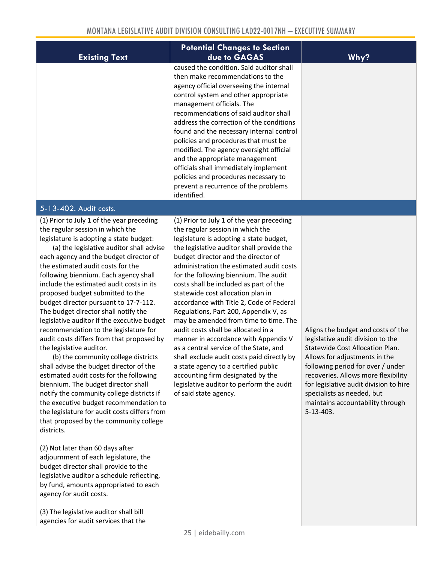| <b>Existing Text</b>                                                                                                                                                                                                                                                                                                                                                                                                                                                                                                                                                                                                                                                                                                                                                                                                                                                                                                                                                                                                                                                                                                                                                | <b>Potential Changes to Section</b><br>due to GAGAS                                                                                                                                                                                                                                                                                                                                                                                                                                                                                                                                                                                                                                                                                                                                                                                     | Why?                                                                                                                                                                                                                                                                                                                                                    |
|---------------------------------------------------------------------------------------------------------------------------------------------------------------------------------------------------------------------------------------------------------------------------------------------------------------------------------------------------------------------------------------------------------------------------------------------------------------------------------------------------------------------------------------------------------------------------------------------------------------------------------------------------------------------------------------------------------------------------------------------------------------------------------------------------------------------------------------------------------------------------------------------------------------------------------------------------------------------------------------------------------------------------------------------------------------------------------------------------------------------------------------------------------------------|-----------------------------------------------------------------------------------------------------------------------------------------------------------------------------------------------------------------------------------------------------------------------------------------------------------------------------------------------------------------------------------------------------------------------------------------------------------------------------------------------------------------------------------------------------------------------------------------------------------------------------------------------------------------------------------------------------------------------------------------------------------------------------------------------------------------------------------------|---------------------------------------------------------------------------------------------------------------------------------------------------------------------------------------------------------------------------------------------------------------------------------------------------------------------------------------------------------|
|                                                                                                                                                                                                                                                                                                                                                                                                                                                                                                                                                                                                                                                                                                                                                                                                                                                                                                                                                                                                                                                                                                                                                                     | caused the condition. Said auditor shall<br>then make recommendations to the<br>agency official overseeing the internal<br>control system and other appropriate<br>management officials. The<br>recommendations of said auditor shall<br>address the correction of the conditions<br>found and the necessary internal control<br>policies and procedures that must be<br>modified. The agency oversight official<br>and the appropriate management<br>officials shall immediately implement<br>policies and procedures necessary to<br>prevent a recurrence of the problems<br>identified.                                                                                                                                                                                                                                              |                                                                                                                                                                                                                                                                                                                                                         |
| 5-13-402. Audit costs.                                                                                                                                                                                                                                                                                                                                                                                                                                                                                                                                                                                                                                                                                                                                                                                                                                                                                                                                                                                                                                                                                                                                              |                                                                                                                                                                                                                                                                                                                                                                                                                                                                                                                                                                                                                                                                                                                                                                                                                                         |                                                                                                                                                                                                                                                                                                                                                         |
| (1) Prior to July 1 of the year preceding<br>the regular session in which the<br>legislature is adopting a state budget:<br>(a) the legislative auditor shall advise<br>each agency and the budget director of<br>the estimated audit costs for the<br>following biennium. Each agency shall<br>include the estimated audit costs in its<br>proposed budget submitted to the<br>budget director pursuant to 17-7-112.<br>The budget director shall notify the<br>legislative auditor if the executive budget<br>recommendation to the legislature for<br>audit costs differs from that proposed by<br>the legislative auditor.<br>(b) the community college districts<br>shall advise the budget director of the<br>estimated audit costs for the following<br>biennium. The budget director shall<br>notify the community college districts if<br>the executive budget recommendation to<br>the legislature for audit costs differs from<br>that proposed by the community college<br>districts.<br>(2) Not later than 60 days after<br>adjournment of each legislature, the<br>budget director shall provide to the<br>legislative auditor a schedule reflecting, | (1) Prior to July 1 of the year preceding<br>the regular session in which the<br>legislature is adopting a state budget,<br>the legislative auditor shall provide the<br>budget director and the director of<br>administration the estimated audit costs<br>for the following biennium. The audit<br>costs shall be included as part of the<br>statewide cost allocation plan in<br>accordance with Title 2, Code of Federal<br>Regulations, Part 200, Appendix V, as<br>may be amended from time to time. The<br>audit costs shall be allocated in a<br>manner in accordance with Appendix V<br>as a central service of the State, and<br>shall exclude audit costs paid directly by<br>a state agency to a certified public<br>accounting firm designated by the<br>legislative auditor to perform the audit<br>of said state agency. | Aligns the budget and costs of the<br>legislative audit division to the<br>Statewide Cost Allocation Plan.<br>Allows for adjustments in the<br>following period for over / under<br>recoveries. Allows more flexibility<br>for legislative audit division to hire<br>specialists as needed, but<br>maintains accountability through<br>$5 - 13 - 403$ . |

agency for audit costs.

(3) The legislative auditor shall bill agencies for audit services that the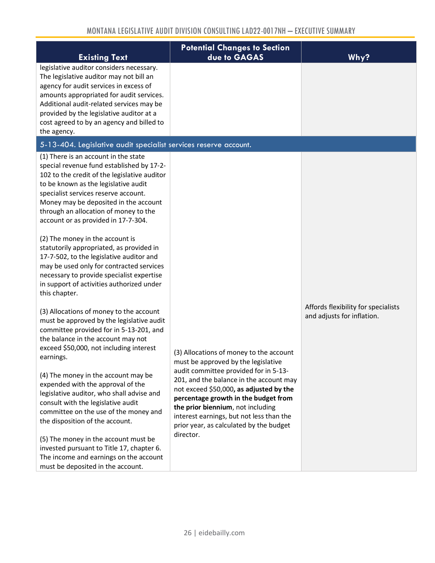| <b>Existing Text</b>                                                                                                                                                                                                                                                                                                                                                                                                                                                                                                                                                                                                                         | <b>Potential Changes to Section</b><br>due to GAGAS                                                                                                                                                                                                                                                                                                                                            | Why?                                                              |
|----------------------------------------------------------------------------------------------------------------------------------------------------------------------------------------------------------------------------------------------------------------------------------------------------------------------------------------------------------------------------------------------------------------------------------------------------------------------------------------------------------------------------------------------------------------------------------------------------------------------------------------------|------------------------------------------------------------------------------------------------------------------------------------------------------------------------------------------------------------------------------------------------------------------------------------------------------------------------------------------------------------------------------------------------|-------------------------------------------------------------------|
| legislative auditor considers necessary.<br>The legislative auditor may not bill an<br>agency for audit services in excess of<br>amounts appropriated for audit services.<br>Additional audit-related services may be<br>provided by the legislative auditor at a<br>cost agreed to by an agency and billed to<br>the agency.                                                                                                                                                                                                                                                                                                                |                                                                                                                                                                                                                                                                                                                                                                                                |                                                                   |
| 5-13-404. Legislative audit specialist services reserve account.                                                                                                                                                                                                                                                                                                                                                                                                                                                                                                                                                                             |                                                                                                                                                                                                                                                                                                                                                                                                |                                                                   |
| (1) There is an account in the state<br>special revenue fund established by 17-2-<br>102 to the credit of the legislative auditor<br>to be known as the legislative audit<br>specialist services reserve account.<br>Money may be deposited in the account<br>through an allocation of money to the<br>account or as provided in 17-7-304.<br>(2) The money in the account is<br>statutorily appropriated, as provided in<br>17-7-502, to the legislative auditor and<br>may be used only for contracted services<br>necessary to provide specialist expertise<br>in support of activities authorized under<br>this chapter.                 |                                                                                                                                                                                                                                                                                                                                                                                                |                                                                   |
| (3) Allocations of money to the account<br>must be approved by the legislative audit<br>committee provided for in 5-13-201, and<br>the balance in the account may not<br>exceed \$50,000, not including interest<br>earnings.<br>(4) The money in the account may be<br>expended with the approval of the<br>legislative auditor, who shall advise and<br>consult with the legislative audit<br>committee on the use of the money and<br>the disposition of the account.<br>(5) The money in the account must be<br>invested pursuant to Title 17, chapter 6.<br>The income and earnings on the account<br>must be deposited in the account. | (3) Allocations of money to the account<br>must be approved by the legislative<br>audit committee provided for in 5-13-<br>201, and the balance in the account may<br>not exceed \$50,000, as adjusted by the<br>percentage growth in the budget from<br>the prior biennium, not including<br>interest earnings, but not less than the<br>prior year, as calculated by the budget<br>director. | Affords flexibility for specialists<br>and adjusts for inflation. |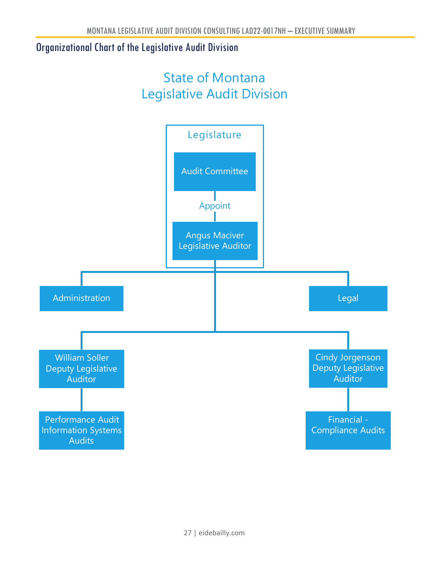# <span id="page-26-0"></span>Organizational Chart of the Legislative Audit Division

# State of Montana Legislative Audit Division